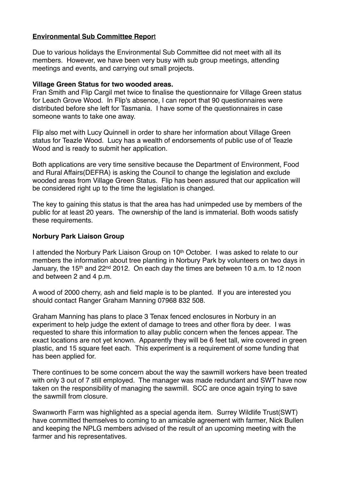# **Environmental Sub Committee Repor**t

Due to various holidays the Environmental Sub Committee did not meet with all its members. However, we have been very busy with sub group meetings, attending meetings and events, and carrying out small projects.

#### **Village Green Status for two wooded areas.**

Fran Smith and Flip Cargil met twice to finalise the questionnaire for Village Green status for Leach Grove Wood. In Flip's absence, I can report that 90 questionnaires were distributed before she left for Tasmania. I have some of the questionnaires in case someone wants to take one away.

Flip also met with Lucy Quinnell in order to share her information about Village Green status for Teazle Wood. Lucy has a wealth of endorsements of public use of of Teazle Wood and is ready to submit her application.

Both applications are very time sensitive because the Department of Environment, Food and Rural Affairs(DEFRA) is asking the Council to change the legislation and exclude wooded areas from Village Green Status. Flip has been assured that our application will be considered right up to the time the legislation is changed.

The key to gaining this status is that the area has had unimpeded use by members of the public for at least 20 years. The ownership of the land is immaterial. Both woods satisfy these requirements.

## **Norbury Park Liaison Group**

I attended the Norbury Park Liaison Group on 10<sup>th</sup> October. I was asked to relate to our members the information about tree planting in Norbury Park by volunteers on two days in January, the 15<sup>th</sup> and 22<sup>nd</sup> 2012. On each day the times are between 10 a.m. to 12 noon and between 2 and 4 p.m.

A wood of 2000 cherry, ash and field maple is to be planted. If you are interested you should contact Ranger Graham Manning 07968 832 508.

Graham Manning has plans to place 3 Tenax fenced enclosures in Norbury in an experiment to help judge the extent of damage to trees and other flora by deer. I was requested to share this information to allay public concern when the fences appear. The exact locations are not yet known. Apparently they will be 6 feet tall, wire covered in green plastic, and 15 square feet each. This experiment is a requirement of some funding that has been applied for.

There continues to be some concern about the way the sawmill workers have been treated with only 3 out of 7 still employed. The manager was made redundant and SWT have now taken on the responsibility of managing the sawmill. SCC are once again trying to save the sawmill from closure.

Swanworth Farm was highlighted as a special agenda item. Surrey Wildlife Trust(SWT) have committed themselves to coming to an amicable agreement with farmer, Nick Bullen and keeping the NPLG members advised of the result of an upcoming meeting with the farmer and his representatives.